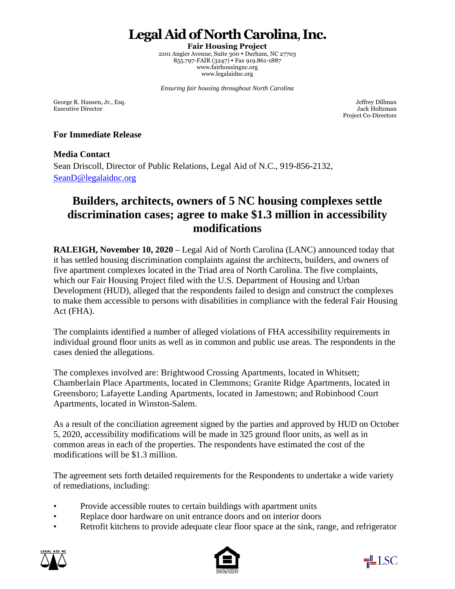# **Legal Aid of North Carolina**, **Inc.**

**Fair Housing Project**  2101 Angier Avenue, Suite 300 · Durham, NC 27703 855.797-FAIR (3247) · Fax 919.861-1887 www.fairhousingnc.org www.legalaidnc.org

*Ensuring fair housing throughout North Carolina* 

George R. Hausen, Jr., Esq. Samuel Communication and the state of the state of the state of the state of the state of the state of the state of the state of the state of the state of the state of the state of the state of Executive Director Jack Holtzman

Project Co-Directors

#### **For Immediate Release**

### **Media Contact**

Sean Driscoll, Director of Public Relations, Legal Aid of N.C., 919-856-2132, [SeanD@legalaidnc.org](mailto:SeanD@legalaidnc.org) 

## **Builders, architects, owners of 5 NC housing complexes settle discrimination cases; agree to make \$1.3 million in accessibility modifications**

**RALEIGH, November 10, 2020** – Legal Aid of North Carolina (LANC) announced today that it has settled housing discrimination complaints against the architects, builders, and owners of five apartment complexes located in the Triad area of North Carolina. The five complaints, which our Fair Housing Project filed with the U.S. Department of Housing and Urban Development (HUD), alleged that the respondents failed to design and construct the complexes to make them accessible to persons with disabilities in compliance with the federal Fair Housing Act (FHA).

The complaints identified a number of alleged violations of FHA accessibility requirements in individual ground floor units as well as in common and public use areas. The respondents in the cases denied the allegations.

The complexes involved are: Brightwood Crossing Apartments, located in Whitsett; Chamberlain Place Apartments, located in Clemmons; Granite Ridge Apartments, located in Greensboro; Lafayette Landing Apartments, located in Jamestown; and Robinhood Court Apartments, located in Winston-Salem.

As a result of the conciliation agreement signed by the parties and approved by HUD on October 5, 2020, accessibility modifications will be made in 325 ground floor units, as well as in common areas in each of the properties. The respondents have estimated the cost of the modifications will be \$1.3 million.

The agreement sets forth detailed requirements for the Respondents to undertake a wide variety of remediations, including:

- Provide accessible routes to certain buildings with apartment units
- Replace door hardware on unit entrance doors and on interior doors
- Retrofit kitchens to provide adequate clear floor space at the sink, range, and refrigerator





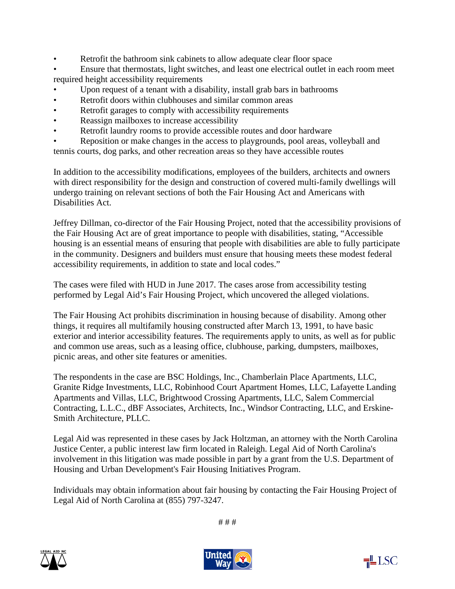- Retrofit the bathroom sink cabinets to allow adequate clear floor space
- Ensure that thermostats, light switches, and least one electrical outlet in each room meet required height accessibility requirements
- Upon request of a tenant with a disability, install grab bars in bathrooms
- Retrofit doors within clubhouses and similar common areas
- Retrofit garages to comply with accessibility requirements
- Reassign mailboxes to increase accessibility
- Retrofit laundry rooms to provide accessible routes and door hardware

• Reposition or make changes in the access to playgrounds, pool areas, volleyball and

tennis courts, dog parks, and other recreation areas so they have accessible routes

In addition to the accessibility modifications, employees of the builders, architects and owners with direct responsibility for the design and construction of covered multi-family dwellings will undergo training on relevant sections of both the Fair Housing Act and Americans with Disabilities Act.

Jeffrey Dillman, co-director of the Fair Housing Project, noted that the accessibility provisions of the Fair Housing Act are of great importance to people with disabilities, stating, "Accessible housing is an essential means of ensuring that people with disabilities are able to fully participate in the community. Designers and builders must ensure that housing meets these modest federal accessibility requirements, in addition to state and local codes."

The cases were filed with HUD in June 2017. The cases arose from accessibility testing performed by Legal Aid's Fair Housing Project, which uncovered the alleged violations.

The Fair Housing Act prohibits discrimination in housing because of disability. Among other things, it requires all multifamily housing constructed after March 13, 1991, to have basic exterior and interior accessibility features. The requirements apply to units, as well as for public and common use areas, such as a leasing office, clubhouse, parking, dumpsters, mailboxes, picnic areas, and other site features or amenities.

The respondents in the case are BSC Holdings, Inc., Chamberlain Place Apartments, LLC, Granite Ridge Investments, LLC, Robinhood Court Apartment Homes, LLC, Lafayette Landing Apartments and Villas, LLC, Brightwood Crossing Apartments, LLC, Salem Commercial Contracting, L.L.C., dBF Associates, Architects, Inc., Windsor Contracting, LLC, and Erskine-Smith Architecture, PLLC.

Legal Aid was represented in these cases by Jack Holtzman, an attorney with the North Carolina Justice Center, a public interest law firm located in Raleigh. Legal Aid of North Carolina's involvement in this litigation was made possible in part by a grant from the U.S. Department of Housing and Urban Development's Fair Housing Initiatives Program.

Individuals may obtain information about fair housing by contacting the Fair Housing Project of Legal Aid of North Carolina at (855) 797-3247.

# # #